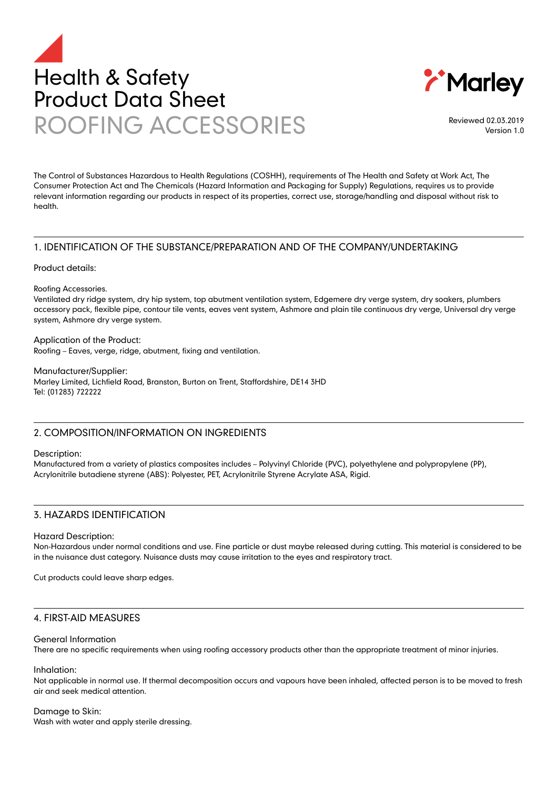



Reviewed 02.03.2019 Version 1.0

The Control of Substances Hazardous to Health Regulations (COSHH), requirements of The Health and Safety at Work Act, The Consumer Protection Act and The Chemicals (Hazard Information and Packaging for Supply) Regulations, requires us to provide relevant information regarding our products in respect of its properties, correct use, storage/handling and disposal without risk to health.

# 1. IDENTIFICATION OF THE SUBSTANCE/PREPARATION AND OF THE COMPANY/UNDERTAKING

Product details:

#### Roofing Accessories.

Ventilated dry ridge system, dry hip system, top abutment ventilation system, Edgemere dry verge system, dry soakers, plumbers accessory pack, flexible pipe, contour tile vents, eaves vent system, Ashmore and plain tile continuous dry verge, Universal dry verge system, Ashmore dry verge system.

Application of the Product: Roofing – Eaves, verge, ridge, abutment, fixing and ventilation.

Manufacturer/Supplier: Marley Limited, Lichfield Road, Branston, Burton on Trent, Staffordshire, DE14 3HD Tel: (01283) 722222

# 2. COMPOSITION/INFORMATION ON INGREDIENTS

#### Description:

Manufactured from a variety of plastics composites includes – Polyvinyl Chloride (PVC), polyethylene and polypropylene (PP), Acrylonitrile butadiene styrene (ABS): Polyester, PET, Acrylonitrile Styrene Acrylate ASA, Rigid.

# 3. HAZARDS IDENTIFICATION

## Hazard Description:

Non-Hazardous under normal conditions and use. Fine particle or dust maybe released during cutting. This material is considered to be in the nuisance dust category. Nuisance dusts may cause irritation to the eyes and respiratory tract.

Cut products could leave sharp edges.

# 4. FIRST-AID MEASURES

#### General Information

There are no specific requirements when using roofing accessory products other than the appropriate treatment of minor injuries.

#### Inhalation:

Not applicable in normal use. If thermal decomposition occurs and vapours have been inhaled, affected person is to be moved to fresh air and seek medical attention.

## Damage to Skin:

Wash with water and apply sterile dressing.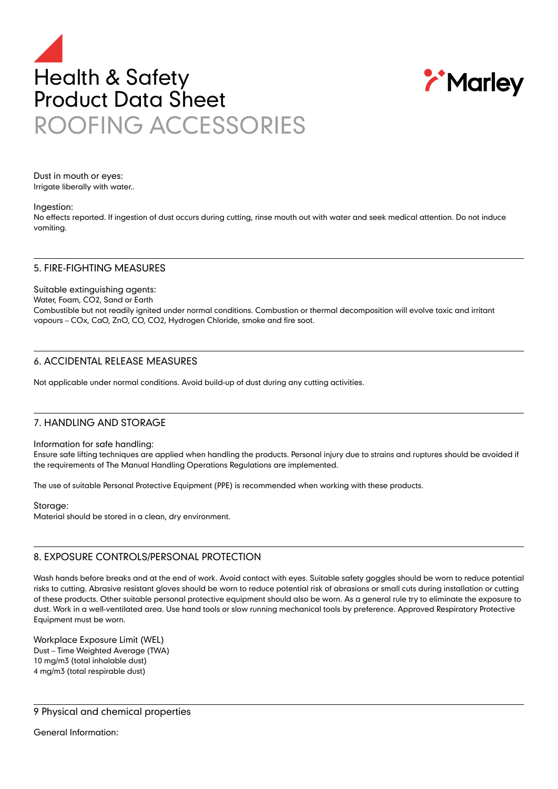



Dust in mouth or eyes: Irrigate liberally with water..

#### Ingestion:

No effects reported. If ingestion of dust occurs during cutting, rinse mouth out with water and seek medical attention. Do not induce vomiting.

## 5. FIRE-FIGHTING MEASURES

Suitable extinguishing agents: Water, Foam, CO2, Sand or Earth Combustible but not readily ignited under normal conditions. Combustion or thermal decomposition will evolve toxic and irritant vapours – COx, CaO, ZnO, CO, CO2, Hydrogen Chloride, smoke and fire soot.

# 6. ACCIDENTAL RELEASE MEASURES

Not applicable under normal conditions. Avoid build-up of dust during any cutting activities.

## 7. HANDLING AND STORAGE

#### Information for safe handling:

Ensure safe lifting techniques are applied when handling the products. Personal injury due to strains and ruptures should be avoided if the requirements of The Manual Handling Operations Regulations are implemented.

The use of suitable Personal Protective Equipment (PPE) is recommended when working with these products.

#### Storage:

Material should be stored in a clean, dry environment.

## 8. EXPOSURE CONTROLS/PERSONAL PROTECTION

Wash hands before breaks and at the end of work. Avoid contact with eyes. Suitable safety goggles should be worn to reduce potential risks to cutting. Abrasive resistant gloves should be worn to reduce potential risk of abrasions or small cuts during installation or cutting of these products. Other suitable personal protective equipment should also be worn. As a general rule try to eliminate the exposure to dust. Work in a well-ventilated area. Use hand tools or slow running mechanical tools by preference. Approved Respiratory Protective Equipment must be worn.

Workplace Exposure Limit (WEL) Dust – Time Weighted Average (TWA) 10 mg/m3 (total inhalable dust) 4 mg/m3 (total respirable dust)

9 Physical and chemical properties

General Information: